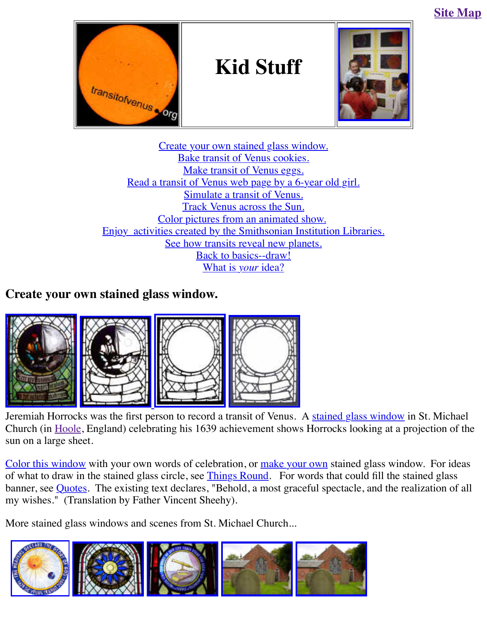



Create your own stained glass window. Bake transit of Venus cookies. Make transit of Venus eggs. [Read a trans](http://old.transitofvenus.org/index.htm)it of Venus web page by a 6-year ol[d girl.](http://old.transitofvenus.org/club.htm) Simulate a transit of Venus. Track Venus across the Sun. Color pictures from an animated show. Enjoy activi[ties created by the Smithsonian Instituti](http://old.transitofvenus.org/kids.htm#stained-glass)on Libraries. Se[e how transits reveal new plane](http://old.transitofvenus.org/kids.htm#cookie)ts. [Back to basics--draw!](http://old.transitofvenus.org/sarah.htm) [What is](http://old.transitofvenus.org/simulate.htm) *your* idea?

## **Create your own stained gl[ass w](http://sunearth.gsfc.nasa.gov/sunearthday/2004/vt_kinder_ownstar.htm)[indow.](http://analyzer.depaul.edu/paperplate/Transit%20of%20Venus/activity.htm)**



[Jeremiah Horroc](http://old.transitofvenus.org/006horrocks.jpg)[ks was the first pe](http://old.transitofvenus.org/horrocks_bw4.jpg)[rson to record a t](http://old.transitofvenus.org/stained_glass_blank_full.jpg)[ransit of Venus.](http://old.transitofvenus.org/stained_glass_full2.jpg) A stained glass window in Church (in Hoole, England) celebrating his 1639 achievement shows Horrocks looking at a pro sun on a large sheet.

Color this window with your own words of celebration, or make your own stained glass window. of what to draw in the stained glass circle, see *Things Round*. For words that could fill the sta banner, see Quotes. The existing text declares, "Behold, a most graceful spectacle, and the rea my wishes." (Translation by Father Vincent Sheehy).

More stain[ed glas](http://old.transitofvenus.org/hoole.htm)s windows and scenes from St. Michael Church...

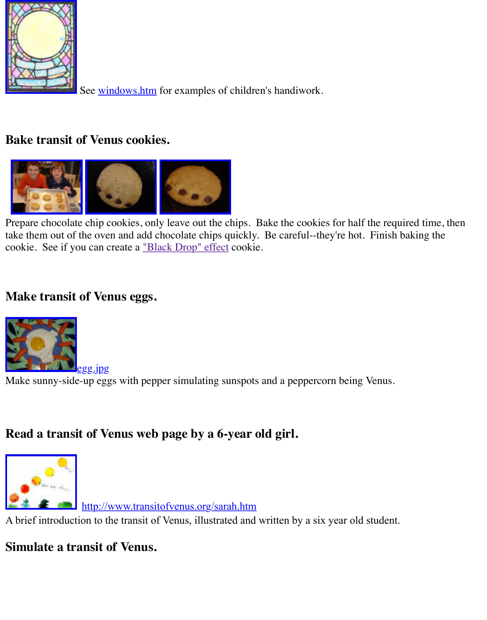

#### **[Bake transit o](http://old.transitofvenus.org/pix/kristi.jpg)f Venus cookies.**



Prepare chocolate chip cookies, only leave out the chips. Bake the cookies for half the require take them out of the oven and add chocolate chips quickly. Be careful--they're hot. Finish bak cookie. See if you can create a "Bl[ack Drop" effect](http://old.transitofvenus.org/cookie3.jpg) cookie.

## **[Make transit o](http://old.transitofvenus.org/cookies-kids.jpg)[f Venus eggs.](http://old.transitofvenus.org/cookie2.jpg)**



Make sunny-side-up eggs with pepper simulating sunspots and a peppercorn being Venus.

# **[Read a transit of Ve](http://old.transitofvenus.org/egg.jpg)nus web page by a 6-year old girl.**



http://www.transitofvenus.org/sarah.htm

A brief introduction to the transit of Venus, illustrated and written by a six year old student.

#### **[Simulate a tra](http://www.transitofvenus.org/sarahsunrise2.jpg)nsit of Venus.**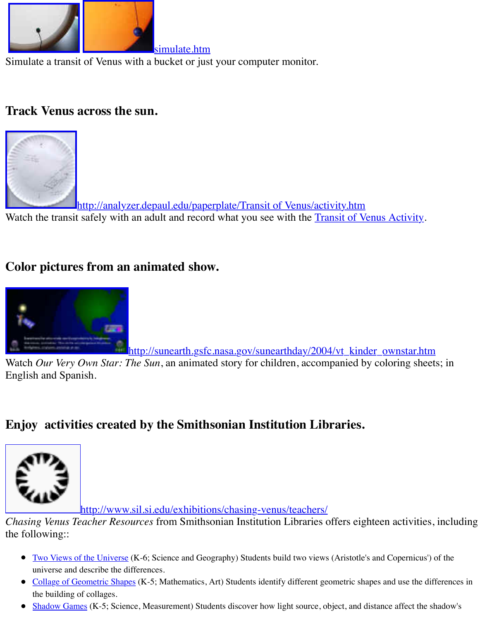### **[Track Venus a](http://old.transitofvenus.org/simulate-zoom.jpg)[cross the sun](http://old.transitofvenus.org/sunsim-zoom2.jpg).**



http://analyzer.depaul.edu/paperplate/Transit of Venus/activity.htm [Watch the transit safely with an adult and record what you see with the Transit of V](http://analyzer.depaul.edu/paperplate/Transit%20of%20Venus/Activity%20plate.jpg)enus Activity.

# **Color pictures from an animated show.**



http://sunearth.gsfc.nasa.gov/sunearthday/2004/vt\_kinder\_ownsta

Watch *Our Very Own Star: The Sun*, an animated story for children, accompanied by coloring English and Spanish.

# **[Enjoy activities created by the Smithsonian Institution Libraries.](http://old.transitofvenus.org/kids-color.jpg)**



http://www.sil.si.edu/exhibitions/chasing-venus/teachers/

*Chasing Venus Teacher Resources* from Smithsonian Institution Libraries offers eighteen activ [the following::](http://www.sil.si.edu/Exhibitions/upcoming.htm) 

- Two Views of the Universe (K-6; Science and Geography) Students build two views (Aristotle's and Copern universe and describe the differences.
- Collage of Geometric Shapes (K-5; Mathematics, Art) Students identify different geometric shapes and use the differences in differences in differences in differences in differences in different geometric shapes and use t the building [of collages.](http://www.sil.si.edu/exhibitions/chasing-venus/teachers/)
- Shadow Games (K-5; Science, Measurement) Students discover how light source, object, and distance affect